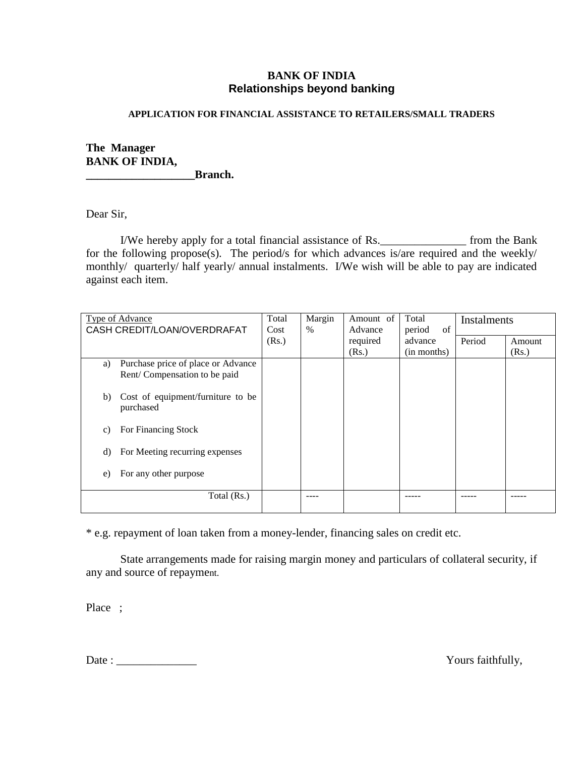## **BANK OF INDIA Relationships beyond banking**

#### **APPLICATION FOR FINANCIAL ASSISTANCE TO RETAILERS/SMALL TRADERS**

### **The Manager BANK OF INDIA, \_\_\_\_\_\_\_\_\_\_\_\_\_\_\_\_\_\_\_Branch.**

Dear Sir,

I/We hereby apply for a total financial assistance of Rs.\_\_\_\_\_\_\_\_\_\_\_\_\_\_\_ from the Bank for the following propose(s). The period/s for which advances is/are required and the weekly/ monthly/ quarterly/ half yearly/ annual instalments. I/We wish will be able to pay are indicated against each item.

| <b>Type of Advance</b><br>CASH CREDIT/LOAN/OVERDRAFAT |                                    | Total<br>Cost | Margin<br>$\%$ | Amount of<br>Advance | Total<br>of<br>period | <b>Instalments</b> |        |
|-------------------------------------------------------|------------------------------------|---------------|----------------|----------------------|-----------------------|--------------------|--------|
|                                                       |                                    | (Rs.)         |                | required             | advance               | Period             | Amount |
|                                                       |                                    |               |                | (Rs.)                | (in months)           |                    | (Rs.)  |
| a)                                                    | Purchase price of place or Advance |               |                |                      |                       |                    |        |
|                                                       | Rent/Compensation to be paid       |               |                |                      |                       |                    |        |
|                                                       |                                    |               |                |                      |                       |                    |        |
| b)                                                    | Cost of equipment/furniture to be  |               |                |                      |                       |                    |        |
|                                                       | purchased                          |               |                |                      |                       |                    |        |
| C)                                                    | For Financing Stock                |               |                |                      |                       |                    |        |
|                                                       |                                    |               |                |                      |                       |                    |        |
| d)                                                    | For Meeting recurring expenses     |               |                |                      |                       |                    |        |
|                                                       |                                    |               |                |                      |                       |                    |        |
| e)                                                    | For any other purpose              |               |                |                      |                       |                    |        |
|                                                       |                                    |               |                |                      |                       |                    |        |
|                                                       | Total (Rs.)                        |               |                |                      |                       |                    |        |
|                                                       |                                    |               |                |                      |                       |                    |        |

\* e.g. repayment of loan taken from a money-lender, financing sales on credit etc.

State arrangements made for raising margin money and particulars of collateral security, if any and source of repayment.

Place ;

Date : \_\_\_\_\_\_\_\_\_\_\_\_\_\_ Yours faithfully,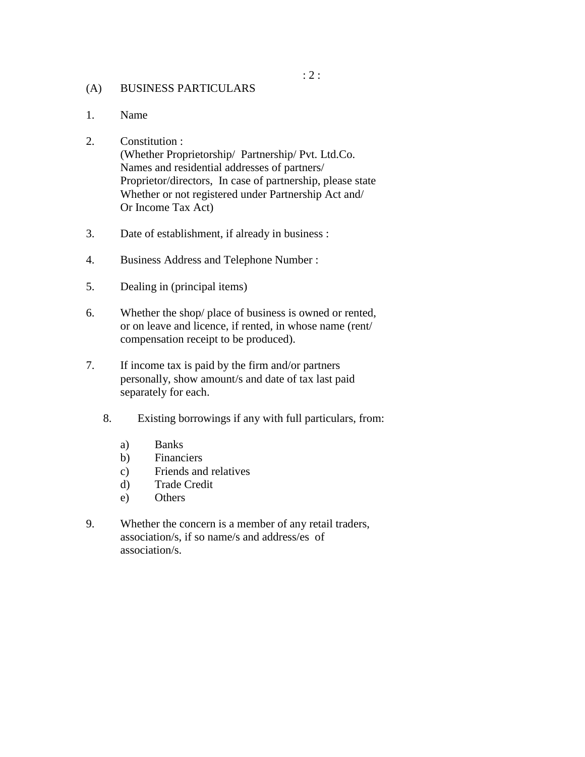#### (A) BUSINESS PARTICULARS

1. Name

## 2. Constitution :

(Whether Proprietorship/ Partnership/ Pvt. Ltd.Co. Names and residential addresses of partners/ Proprietor/directors, In case of partnership, please state Whether or not registered under Partnership Act and/ Or Income Tax Act)

- 3. Date of establishment, if already in business :
- 4. Business Address and Telephone Number :
- 5. Dealing in (principal items)
- 6. Whether the shop/ place of business is owned or rented, or on leave and licence, if rented, in whose name (rent/ compensation receipt to be produced).
- 7. If income tax is paid by the firm and/or partners personally, show amount/s and date of tax last paid separately for each.
	- 8. Existing borrowings if any with full particulars, from:
		- a) Banks
		- b) Financiers
		- c) Friends and relatives
		- d) Trade Credit
		- e) Others
- 9. Whether the concern is a member of any retail traders, association/s, if so name/s and address/es of association/s.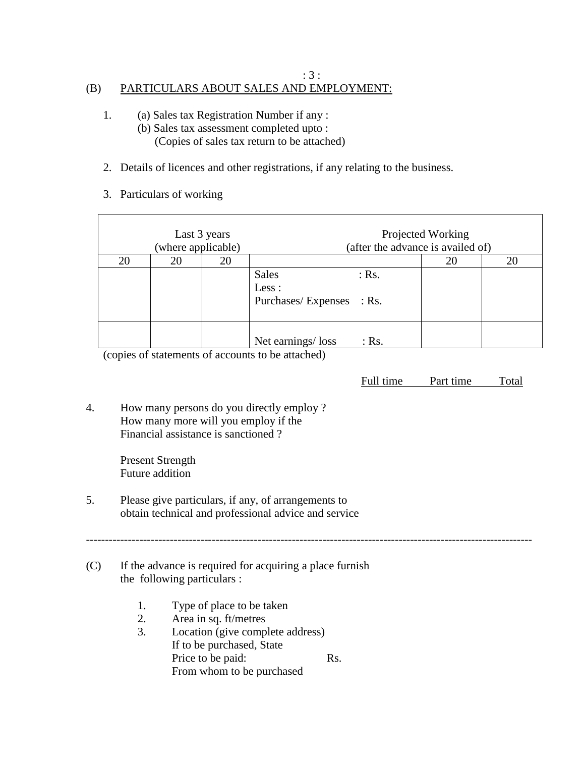# (B) PARTICULARS ABOUT SALES AND EMPLOYMENT:

- 1. (a) Sales tax Registration Number if any : (b) Sales tax assessment completed upto : (Copies of sales tax return to be attached)
- 2. Details of licences and other registrations, if any relating to the business.

: 3 :

3. Particulars of working

| Last 3 years<br>(where applicable) |    |    | Projected Working<br>(after the advance is availed of)       |    |    |  |
|------------------------------------|----|----|--------------------------------------------------------------|----|----|--|
| 20                                 | 20 | 20 |                                                              | 20 | 20 |  |
|                                    |    |    | <b>Sales</b><br>$:$ Rs.<br>Less:<br>Purchases/Expenses : Rs. |    |    |  |
|                                    |    |    | Net earnings/loss<br>$:$ Rs.                                 |    |    |  |

(copies of statements of accounts to be attached)

Full time Part time Total

---------------------------------------------------------------------------------------------------------------------

4. How many persons do you directly employ ? How many more will you employ if the Financial assistance is sanctioned ?

> Present Strength Future addition

- 5. Please give particulars, if any, of arrangements to obtain technical and professional advice and service
- (C) If the advance is required for acquiring a place furnish the following particulars :
	- 1. Type of place to be taken
	- 2. Area in sq. ft/metres
	- 3. Location (give complete address) If to be purchased, State Price to be paid: Rs. From whom to be purchased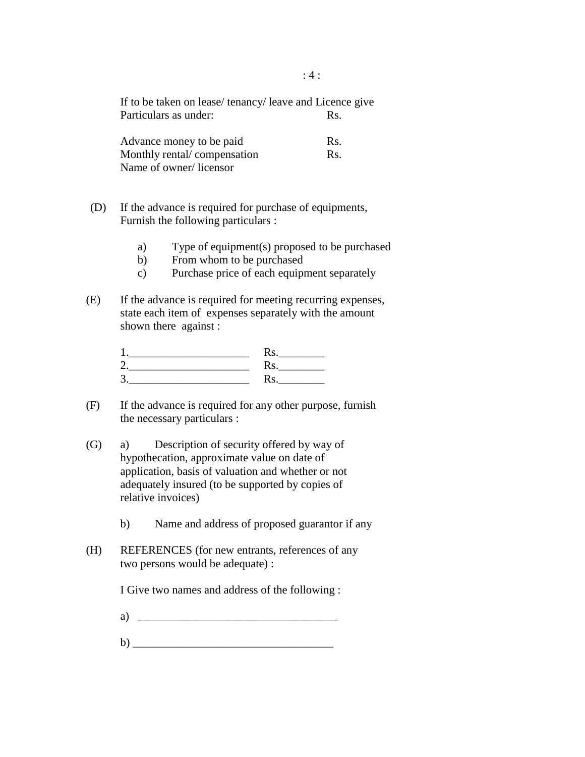If to be taken on lease/ tenancy/ leave and Licence give Particulars as under: Rs.

| Advance money to be paid    | Rs. |
|-----------------------------|-----|
| Monthly rental/compensation | Rs. |
| Name of owner/licensor      |     |

- (D) If the advance is required for purchase of equipments, Furnish the following particulars :
	- a) Type of equipment(s) proposed to be purchased
	- b) From whom to be purchased
	- c) Purchase price of each equipment separately
- (E) If the advance is required for meeting recurring expenses, state each item of expenses separately with the amount shown there against :

| 1        |  |
|----------|--|
| っ        |  |
| 2<br>. . |  |

- (F) If the advance is required for any other purpose, furnish the necessary particulars :
- (G) a) Description of security offered by way of hypothecation, approximate value on date of application, basis of valuation and whether or not adequately insured (to be supported by copies of relative invoices)
	- b) Name and address of proposed guarantor if any
- (H) REFERENCES (for new entrants, references of any two persons would be adequate) :

I Give two names and address of the following :

- $a)$
- $\mathbf{b}$ )  $\overline{\phantom{a}}$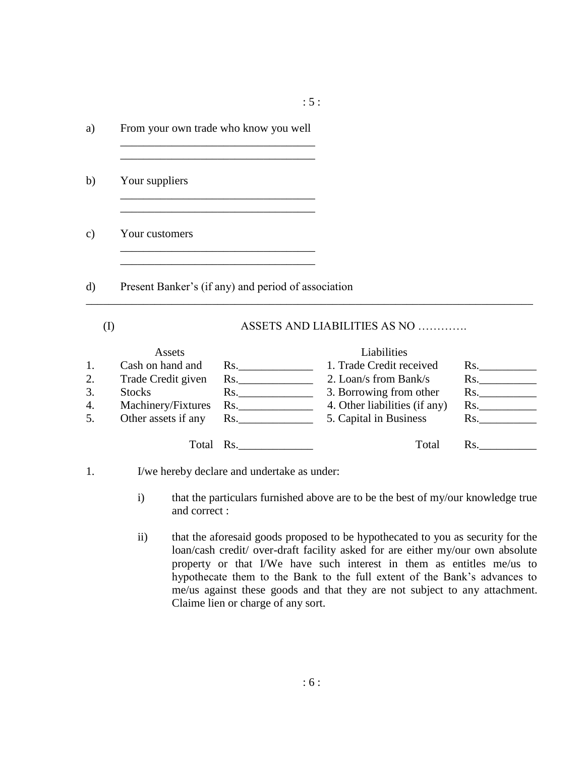a) From your own trade who know you well \_\_\_\_\_\_\_\_\_\_\_\_\_\_\_\_\_\_\_\_\_\_\_\_\_\_\_\_\_\_\_\_\_\_ \_\_\_\_\_\_\_\_\_\_\_\_\_\_\_\_\_\_\_\_\_\_\_\_\_\_\_\_\_\_\_\_\_\_ b) Your suppliers \_\_\_\_\_\_\_\_\_\_\_\_\_\_\_\_\_\_\_\_\_\_\_\_\_\_\_\_\_\_\_\_\_\_ \_\_\_\_\_\_\_\_\_\_\_\_\_\_\_\_\_\_\_\_\_\_\_\_\_\_\_\_\_\_\_\_\_\_ c) Your customers \_\_\_\_\_\_\_\_\_\_\_\_\_\_\_\_\_\_\_\_\_\_\_\_\_\_\_\_\_\_\_\_\_\_ d) Present Banker's (if any) and period of association

(I) ASSETS AND LIABILITIES AS NO ………….

|    | Assets              |     | Liabilities                   |     |
|----|---------------------|-----|-------------------------------|-----|
| 1. | Cash on hand and    | Rs. | 1. Trade Credit received      | Rs. |
| 2. | Trade Credit given  | Rs. | 2. Loan/s from Bank/s         | Rs. |
| 3. | <b>Stocks</b>       | Rs. | 3. Borrowing from other       | Rs. |
| 4. | Machinery/Fixtures  | Rs. | 4. Other liabilities (if any) | Rs. |
| 5. | Other assets if any | Rs. | 5. Capital in Business        | Rs. |
|    | Total               | Rs. | Total                         | Rs. |

\_\_\_\_\_\_\_\_\_\_\_\_\_\_\_\_\_\_\_\_\_\_\_\_\_\_\_\_\_\_\_\_\_\_\_\_\_\_\_\_\_\_\_\_\_\_\_\_\_\_\_\_\_\_\_\_\_\_\_\_\_\_\_\_\_\_\_\_\_\_\_\_\_\_\_\_\_\_

## 1. I/we hereby declare and undertake as under:

- i) that the particulars furnished above are to be the best of my/our knowledge true and correct :
- ii) that the aforesaid goods proposed to be hypothecated to you as security for the loan/cash credit/ over-draft facility asked for are either my/our own absolute property or that I/We have such interest in them as entitles me/us to hypothecate them to the Bank to the full extent of the Bank's advances to me/us against these goods and that they are not subject to any attachment. Claime lien or charge of any sort.

: 5 :